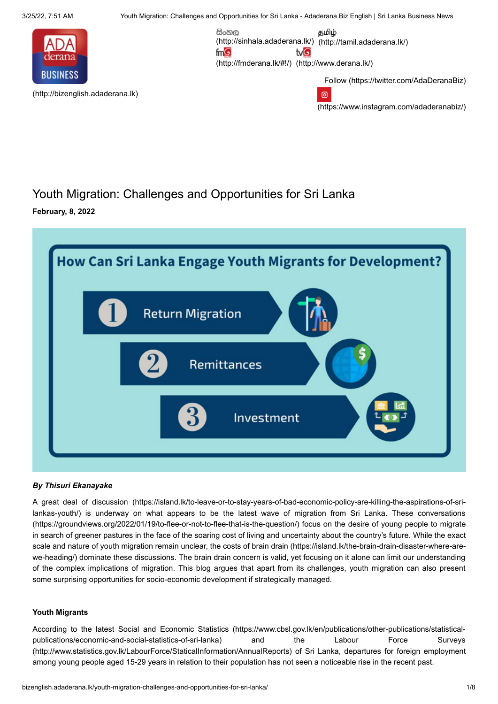3/25/22, 7:51 AM Youth Migration: Challenges and Opportunities for Sri Lanka - Adaderana Biz English | Sri Lanka Business News

සිංහල

 $mG$ 

[\(http://fmderana.lk/#!/\)](http://fmderana.lk/#!/) [\(http://www.derana.lk/\)](http://www.derana.lk/)

tvG

[\(http://sinhala.adaderana.lk/\)](http://sinhala.adaderana.lk/) [\(http://tamil.adaderana.lk/\)](http://tamil.adaderana.lk/)

தமிழ்

൫



[\(http://bizenglish.adaderana.lk\)](http://bizenglish.adaderana.lk/)

Follow [\(https://twitter.com/AdaDeranaBiz\)](https://twitter.com/AdaDeranaBiz)

[\(https://www.instagram.com/adaderanabiz/\)](https://www.instagram.com/adaderanabiz/)

## Youth Migration: Challenges and Opportunities for Sri Lanka **February, 8, 2022**



### *By Thisuri Ekanayake*

A great deal of discussion (https://island.lk/to-leave-or-to-stay-years-of-bad-economic-policy-are-killing-the-aspirations-of-srilankas-youth/) [is underway on what appears to be the latest wave of migration from Sri Lanka. These conversations](https://island.lk/to-leave-or-to-stay-years-of-bad-economic-policy-are-killing-the-aspirations-of-sri-lankas-youth/) (https://groundviews.org/2022/01/19/to-flee-or-not-to-flee-that-is-the-question/) focus on the desire of young people to migrate in search of greener pastures in the face of the soaring cost of living and uncertainty about the country's future. While the exact [scale and nature of youth migration remain unclear, the costs of brain drain \(https://island.lk/the-brain-drain-disaster-where-are](https://island.lk/the-brain-drain-disaster-where-are-we-heading/)we-heading/) dominate these discussions. The brain drain concern is valid, yet focusing on it alone can limit our understanding of the complex implications of migration. This blog argues that apart from its challenges, youth migration can also present some surprising opportunities for socio-economic development if strategically managed.

### **Youth Migrants**

According to the latest Social and Economic Statistics [\(https://www.cbsl.gov.lk/en/publications/other-publications/statistical](https://www.cbsl.gov.lk/en/publications/other-publications/statistical-publications/economic-and-social-statistics-of-sri-lanka)publications/economic-and-social-statistics-of-sri-lanka) and the Labour Force Surveys [\(http://www.statistics.gov.lk/LabourForce/StaticalInformation/AnnualReports\)](http://www.statistics.gov.lk/LabourForce/StaticalInformation/AnnualReports) of Sri Lanka, departures for foreign employment among young people aged 15-29 years in relation to their population has not seen a noticeable rise in the recent past.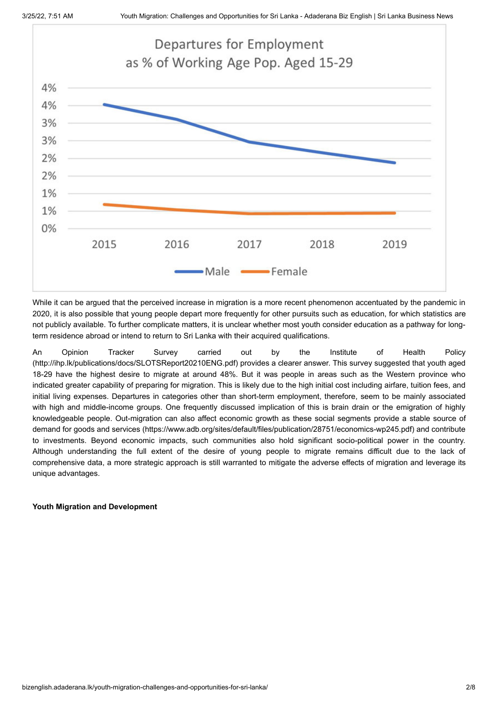

While it can be argued that the perceived increase in migration is a more recent phenomenon accentuated by the pandemic in 2020, it is also possible that young people depart more frequently for other pursuits such as education, for which statistics are not publicly available. To further complicate matters, it is unclear whether most youth consider education as a pathway for longterm residence abroad or intend to return to Sri Lanka with their acquired qualifications.

[An Opinion Tracker Survey carried out by the Institute of Health Policy](http://ihp.lk/publications/docs/SLOTSReport20210ENG.pdf) (http://ihp.lk/publications/docs/SLOTSReport20210ENG.pdf) provides a clearer answer. This survey suggested that youth aged 18-29 have the highest desire to migrate at around 48%. But it was people in areas such as the Western province who indicated greater capability of preparing for migration. This is likely due to the high initial cost including airfare, tuition fees, and initial living expenses. Departures in categories other than short-term employment, therefore, seem to be mainly associated with high and middle-income groups. One frequently discussed implication of this is brain drain or the emigration of highly knowledgeable people. Out-migration can also affect economic growth as these social segments provide a stable source of [demand for goods and services \(https://www.adb.org/sites/default/files/publication/28751/economics-wp245.pdf\) and contribute](https://www.adb.org/sites/default/files/publication/28751/economics-wp245.pdf) to investments. Beyond economic impacts, such communities also hold significant socio-political power in the country. Although understanding the full extent of the desire of young people to migrate remains difficult due to the lack of comprehensive data, a more strategic approach is still warranted to mitigate the adverse effects of migration and leverage its unique advantages.

### **Youth Migration and Development**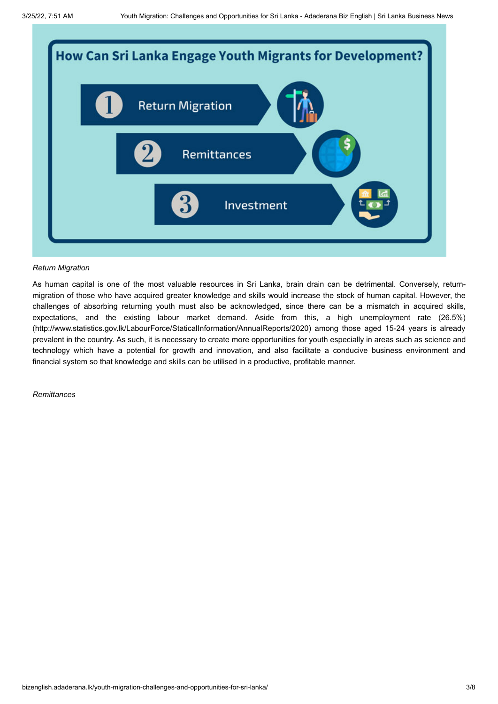

### *Return Migration*

As human capital is one of the most valuable resources in Sri Lanka, brain drain can be detrimental. Conversely, returnmigration of those who have acquired greater knowledge and skills would increase the stock of human capital. However, the challenges of absorbing returning youth must also be acknowledged, since there can be a mismatch in acquired skills, [expectations, and the existing labour market demand. Aside from this, a high unemployment rate \(26.5%\)](http://www.statistics.gov.lk/LabourForce/StaticalInformation/AnnualReports/2020) (http://www.statistics.gov.lk/LabourForce/StaticalInformation/AnnualReports/2020) among those aged 15-24 years is already prevalent in the country. As such, it is necessary to create more opportunities for youth especially in areas such as science and technology which have a potential for growth and innovation, and also facilitate a conducive business environment and financial system so that knowledge and skills can be utilised in a productive, profitable manner.

*Remittances*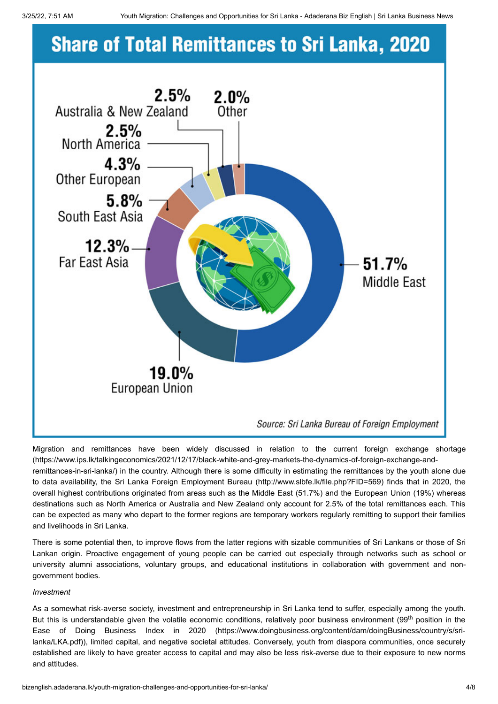# **Share of Total Remittances to Sri Lanka, 2020**



[Migration and remittances have been widely discussed in relation to the current foreign exchange shortage](https://www.ips.lk/talkingeconomics/2021/12/17/black-white-and-grey-markets-the-dynamics-of-foreign-exchange-and-remittances-in-sri-lanka/) (https://www.ips.lk/talkingeconomics/2021/12/17/black-white-and-grey-markets-the-dynamics-of-foreign-exchange-andremittances-in-sri-lanka/) in the country. Although there is some difficulty in estimating the remittances by the youth alone due to data availability, the [Sri Lanka Foreign Employment Bureau](http://www.slbfe.lk/file.php?FID=569) (http://www.slbfe.lk/file.php?FID=569) finds that in 2020, the overall highest contributions originated from areas such as the Middle East (51.7%) and the European Union (19%) whereas destinations such as North America or Australia and New Zealand only account for 2.5% of the total remittances each. This can be expected as many who depart to the former regions are temporary workers regularly remitting to support their families and livelihoods in Sri Lanka.

There is some potential then, to improve flows from the latter regions with sizable communities of Sri Lankans or those of Sri Lankan origin. Proactive engagement of young people can be carried out especially through networks such as school or university alumni associations, voluntary groups, and educational institutions in collaboration with government and nongovernment bodies.

### *Investment*

As a somewhat risk-averse society, investment and entrepreneurship in Sri Lanka tend to suffer, especially among the youth. [But this is understandable given the volatile economic conditions, relatively poor business environment \(99](https://www.doingbusiness.org/content/dam/doingBusiness/country/s/sri-lanka/LKA.pdf)<sup>th</sup> position in the Ease of Doing Business Index in 2020 (https://www.doingbusiness.org/content/dam/doingBusiness/country/s/srilanka/LKA.pdf)), limited capital, and negative societal attitudes. Conversely, youth from diaspora communities, once securely established are likely to have greater access to capital and may also be less risk-averse due to their exposure to new norms and attitudes.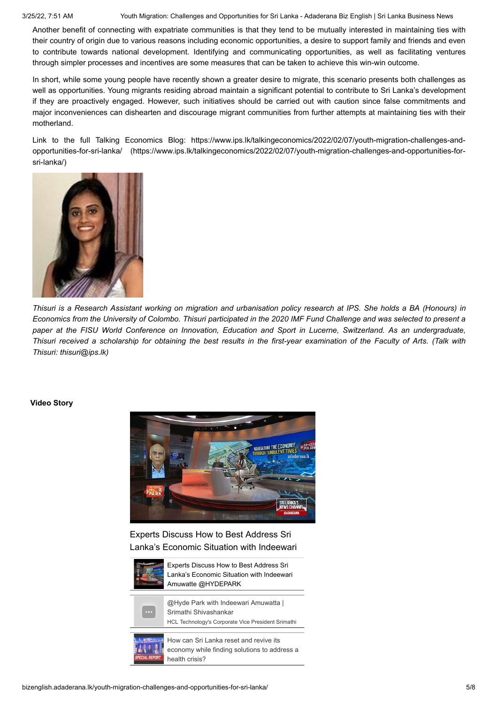3/25/22, 7:51 AM Youth Migration: Challenges and Opportunities for Sri Lanka - Adaderana Biz English | Sri Lanka Business News

Another benefit of connecting with expatriate communities is that they tend to be mutually interested in maintaining ties with their country of origin due to various reasons including economic opportunities, a desire to support family and friends and even to contribute towards national development. Identifying and communicating opportunities, as well as facilitating ventures through simpler processes and incentives are some measures that can be taken to achieve this win-win outcome.

In short, while some young people have recently shown a greater desire to migrate, this scenario presents both challenges as well as opportunities. Young migrants residing abroad maintain a significant potential to contribute to Sri Lanka's development if they are proactively engaged. However, such initiatives should be carried out with caution since false commitments and major inconveniences can dishearten and discourage migrant communities from further attempts at maintaining ties with their motherland.

[Link to the full Talking Economics Blog: https://www.ips.lk/talkingeconomics/2022/02/07/youth-migration-challenges-and](https://www.ips.lk/talkingeconomics/2022/02/07/youth-migration-challenges-and-opportunities-for-sri-lanka/)opportunities-for-sri-lanka/ (https://www.ips.lk/talkingeconomics/2022/02/07/youth-migration-challenges-and-opportunities-forsri-lanka/)



*Thisuri is a Research Assistant working on migration and urbanisation policy research at IPS. She holds a BA (Honours) in Economics from the University of Colombo. Thisuri participated in the 2020 IMF Fund Challenge and was selected to present a paper at the FISU World Conference on Innovation, Education and Sport in Lucerne, Switzerland. As an undergraduate, Thisuri received a scholarship for obtaining the best results in the first-year examination of the Faculty of Arts. (Talk with Thisuri: thisuri@ips.lk)*

### **Video Story**



Experts Discuss How to Best Address Sri Lanka's Economic Situation with Indeewari



Experts Discuss How to Best Address Sri Lanka's Economic Situation with Indeewari Amuwatte @HYDEPARK



@Hyde Park with Indeewari Amuwatta | Srimathi Shivashankar

HCL Technology's Corporate Vice President Srimathi



How can Sri Lanka reset and revive its economy while finding solutions to address a health crisis?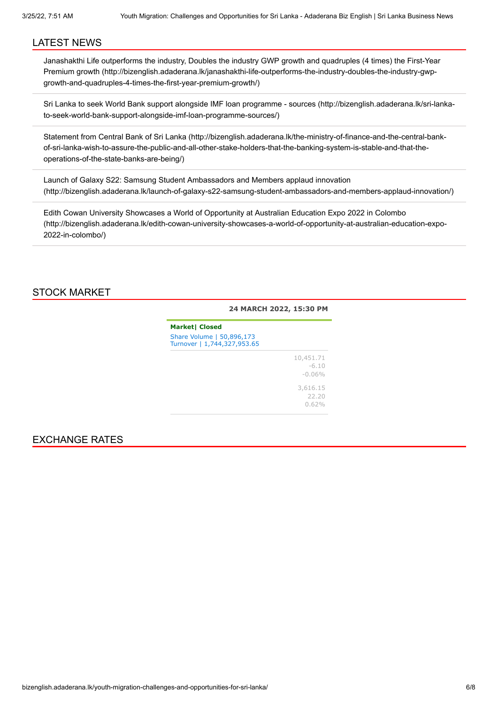### LATEST NEWS

[Janashakthi Life outperforms the industry, Doubles the industry GWP growth and quadruples \(4 times\) the First-Year](http://bizenglish.adaderana.lk/janashakthi-life-outperforms-the-industry-doubles-the-industry-gwp-growth-and-quadruples-4-times-the-first-year-premium-growth/) Premium growth (http://bizenglish.adaderana.lk/janashakthi-life-outperforms-the-industry-doubles-the-industry-gwpgrowth-and-quadruples-4-times-the-first-year-premium-growth/)

[Sri Lanka to seek World Bank support alongside IMF loan programme - sources \(http://bizenglish.adaderana.lk/sri-lanka](http://bizenglish.adaderana.lk/sri-lanka-to-seek-world-bank-support-alongside-imf-loan-programme-sources/)to-seek-world-bank-support-alongside-imf-loan-programme-sources/)

[Statement from Central Bank of Sri Lanka \(http://bizenglish.adaderana.lk/the-ministry-of-finance-and-the-central-bank](http://bizenglish.adaderana.lk/the-ministry-of-finance-and-the-central-bank-of-sri-lanka-wish-to-assure-the-public-and-all-other-stake-holders-that-the-banking-system-is-stable-and-that-the-operations-of-the-state-banks-are-being/)of-sri-lanka-wish-to-assure-the-public-and-all-other-stake-holders-that-the-banking-system-is-stable-and-that-theoperations-of-the-state-banks-are-being/)

Launch of Galaxy S22: Samsung Student Ambassadors and Members applaud innovation [\(http://bizenglish.adaderana.lk/launch-of-galaxy-s22-samsung-student-ambassadors-and-members-applaud-innovation/\)](http://bizenglish.adaderana.lk/launch-of-galaxy-s22-samsung-student-ambassadors-and-members-applaud-innovation/)

Edith Cowan University Showcases a World of Opportunity at Australian Education Expo 2022 in Colombo [\(http://bizenglish.adaderana.lk/edith-cowan-university-showcases-a-world-of-opportunity-at-australian-education-expo-](http://bizenglish.adaderana.lk/edith-cowan-university-showcases-a-world-of-opportunity-at-australian-education-expo-2022-in-colombo/)2022-in-colombo/)

### STOCK MARKET

### **24 MARCH 2022, 15:30 PM**

| <b>Market  Closed</b>                                    |                                   |  |  |  |
|----------------------------------------------------------|-----------------------------------|--|--|--|
| Share Volume   50,896,173<br>Turnover   1,744,327,953.65 |                                   |  |  |  |
|                                                          | 10,451.71<br>$-6.10$<br>$-0.06\%$ |  |  |  |
|                                                          | 3,616.15<br>22.20<br>0.62%        |  |  |  |

### EXCHANGE RATES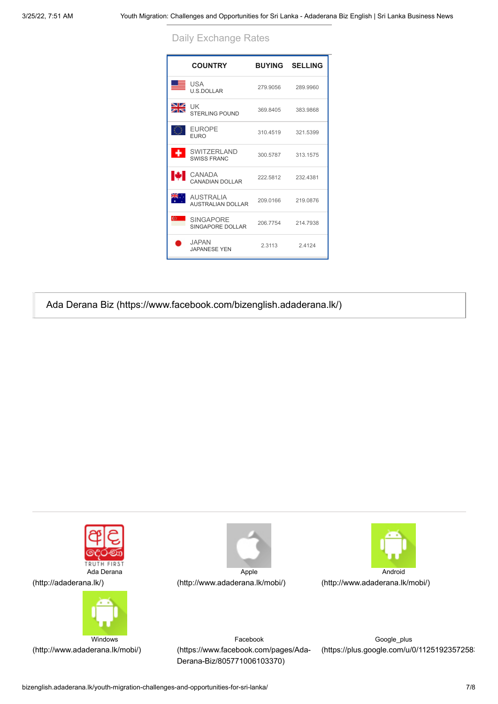Daily Exchange Rates

|                      | <b>COUNTRY</b>                           |          | <b>BUYING SELLING</b> |
|----------------------|------------------------------------------|----------|-----------------------|
| ᆖ                    | USA<br><b>U.S.DOLLAR</b>                 | 279.9056 | 289,9960              |
| ≫⊯                   | l JK<br><b>STERLING POUND</b>            | 369.8405 | 383.9868              |
|                      | <b>EUROPE</b><br><b>EURO</b>             | 310.4519 | 321.5399              |
| $\ddot{\phantom{1}}$ | <b>SWITZERLAND</b><br><b>SWISS FRANC</b> | 300.5787 | 313.1575              |
| м                    | CANADA<br>CANADIAN DOLLAR                |          | 222.5812 232.4381     |
| is.                  | <b>AUSTRALIA</b><br>AUSTRALIAN DOLLAR    | 209.0166 | 219.0876              |
| $C_{\mathbb{Z}}$     | <b>SINGAPORF</b><br>SINGAPORE DOLLAR     | 206.7754 | 214.7938              |
|                      | <b>JAPAN</b><br><b>JAPANESE YEN</b>      | 2 3113   | 24124                 |

[Ada Derana Biz \(https://www.facebook.com/bizenglish.adaderana.lk/\)](https://www.facebook.com/bizenglish.adaderana.lk/)